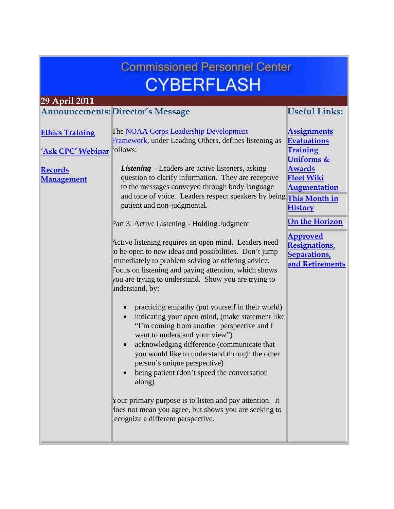<span id="page-0-0"></span>

| <b>Commissioned Personnel Center</b><br><b>CYBERFLASH</b> |                                                                                                                                                                                                                                                                                                                                                                                           |                                                                                |  |  |
|-----------------------------------------------------------|-------------------------------------------------------------------------------------------------------------------------------------------------------------------------------------------------------------------------------------------------------------------------------------------------------------------------------------------------------------------------------------------|--------------------------------------------------------------------------------|--|--|
| 29 April 2011                                             |                                                                                                                                                                                                                                                                                                                                                                                           |                                                                                |  |  |
|                                                           | <b>Announcements: Director's Message</b>                                                                                                                                                                                                                                                                                                                                                  | <b>Useful Links:</b>                                                           |  |  |
| <b>Ethics Training</b>                                    | The NOAA Corps Leadership Development<br>Framework, under Leading Others, defines listening as                                                                                                                                                                                                                                                                                            | <b>Assignments</b><br><b>Evaluations</b>                                       |  |  |
| 'Ask CPC' Webinar<br><b>Records</b><br><b>Management</b>  | follows:<br><b>Listening</b> – Leaders are active listeners, asking<br>question to clarify information. They are receptive                                                                                                                                                                                                                                                                | <b>Training</b><br><b>Uniforms &amp;</b><br><b>Awards</b><br><b>Fleet Wiki</b> |  |  |
|                                                           | to the messages conveyed through body language<br>and tone of voice. Leaders respect speakers by being<br>patient and non-judgmental.                                                                                                                                                                                                                                                     | <b>Augmentation</b><br><b>This Month in</b><br><b>History</b>                  |  |  |
|                                                           | Part 3: Active Listening - Holding Judgment                                                                                                                                                                                                                                                                                                                                               | <b>On the Horizon</b>                                                          |  |  |
|                                                           | Active listening requires an open mind. Leaders need<br>to be open to new ideas and possibilities. Don't jump<br>immediately to problem solving or offering advice.<br>Focus on listening and paying attention, which shows<br>you are trying to understand. Show you are trying to<br>understand, by:                                                                                    | <b>Approved</b><br><b>Resignations</b><br>Separations,<br>and Retirements      |  |  |
|                                                           | practicing empathy (put yourself in their world)<br>indicating your open mind, (make statement like<br>$\bullet$<br>"I'm coming from another perspective and I<br>want to understand your view")<br>acknowledging difference (communicate that<br>you would like to understand through the other<br>person's unique perspective)<br>being patient (don't speed the conversation<br>along) |                                                                                |  |  |
|                                                           | Your primary purpose is to listen and pay attention. It<br>does not mean you agree, but shows you are seeking to<br>recognize a different perspective.                                                                                                                                                                                                                                    |                                                                                |  |  |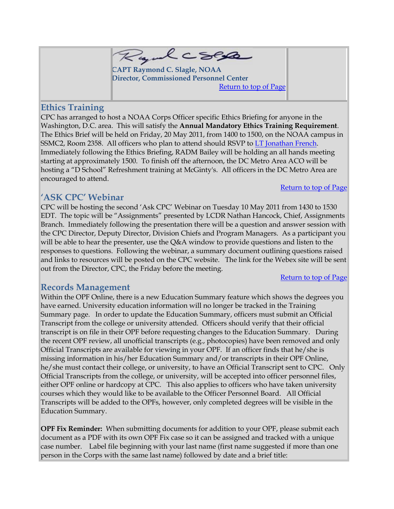

**CAPT Raymond C. Slagle, NOAA Director, Commissioned Personnel Center** [Return to top of Page](#page-0-0)

## <span id="page-1-0"></span>**Ethics Training**

CPC has arranged to host a NOAA Corps Officer specific Ethics Briefing for anyone in the Washington, D.C. area. This will satisfy the **Annual Mandatory Ethics Training Requirement**. The Ethics Brief will be held on Friday, 20 May 2011, from 1400 to 1500, on the NOAA campus in SSMC2, Room 2358. All officers who plan to attend should RSVP to [LT Jonathan French.](mailto:jonathan.r.french@noaa.gov) Immediately following the Ethics Briefing, RADM Bailey will be holding an all hands meeting starting at approximately 1500. To finish off the afternoon, the DC Metro Area ACO will be hosting a "D School" Refreshment training at McGinty's. All officers in the DC Metro Area are encouraged to attend.

### [Return to top of Page](#page-0-0)

# <span id="page-1-1"></span>**'ASK CPC' Webinar**

CPC will be hosting the second 'Ask CPC' Webinar on Tuesday 10 May 2011 from 1430 to 1530 EDT. The topic will be "Assignments" presented by LCDR Nathan Hancock, Chief, Assignments Branch. Immediately following the presentation there will be a question and answer session with the CPC Director, Deputy Director, Division Chiefs and Program Managers. As a participant you will be able to hear the presenter, use the Q&A window to provide questions and listen to the responses to questions. Following the webinar, a summary document outlining questions raised and links to resources will be posted on the CPC website. The link for the Webex site will be sent out from the Director, CPC, the Friday before the meeting.

#### [Return to top of Page](#page-0-0)

### <span id="page-1-2"></span>**Records Management**

Within the OPF Online, there is a new Education Summary feature which shows the degrees you have earned. University education information will no longer be tracked in the Training Summary page. In order to update the Education Summary, officers must submit an Official Transcript from the college or university attended. Officers should verify that their official transcript is on file in their OPF before requesting changes to the Education Summary. During the recent OPF review, all unofficial transcripts (e.g., photocopies) have been removed and only Official Transcripts are available for viewing in your OPF. If an officer finds that he/she is missing information in his/her Education Summary and/or transcripts in their OPF Online, he/she must contact their college, or university, to have an Official Transcript sent to CPC. Only Official Transcripts from the college, or university, will be accepted into officer personnel files, either OPF online or hardcopy at CPC. This also applies to officers who have taken university courses which they would like to be available to the Officer Personnel Board. All Official Transcripts will be added to the OPFs, however, only completed degrees will be visible in the Education Summary.

**OPF Fix Reminder:** When submitting documents for addition to your OPF, please submit each document as a PDF with its own OPF Fix case so it can be assigned and tracked with a unique case number. Label file beginning with your last name (first name suggested if more than one person in the Corps with the same last name) followed by date and a brief title: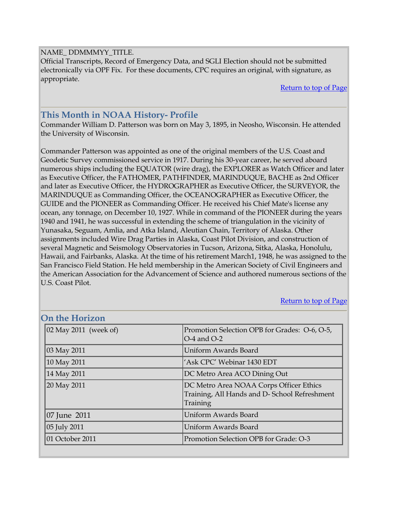#### NAME\_ DDMMMYY\_TITLE.

Official Transcripts, Record of Emergency Data, and SGLI Election should not be submitted electronically via OPF Fix. For these documents, CPC requires an original, with signature, as appropriate.

[Return to top of Page](#page-0-0)

[Return to top of Page](#page-0-0)

# <span id="page-2-0"></span>**This Month in NOAA History- Profile**

Commander William D. Patterson was born on May 3, 1895, in Neosho, Wisconsin. He attended the University of Wisconsin.

Commander Patterson was appointed as one of the original members of the U.S. Coast and Geodetic Survey commissioned service in 1917. During his 30-year career, he served aboard numerous ships including the EQUATOR (wire drag), the EXPLORER as Watch Officer and later as Executive Officer, the FATHOMER, PATHFINDER, MARINDUQUE, BACHE as 2nd Officer and later as Executive Officer, the HYDROGRAPHER as Executive Officer, the SURVEYOR, the MARINDUQUE as Commanding Officer, the OCEANOGRAPHER as Executive Officer, the GUIDE and the PIONEER as Commanding Officer. He received his Chief Mate's license any ocean, any tonnage, on December 10, 1927. While in command of the PIONEER during the years 1940 and 1941, he was successful in extending the scheme of triangulation in the vicinity of Yunasaka, Seguam, Amlia, and Atka Island, Aleutian Chain, Territory of Alaska. Other assignments included Wire Drag Parties in Alaska, Coast Pilot Division, and construction of several Magnetic and Seismology Observatories in Tucson, Arizona, Sitka, Alaska, Honolulu, Hawaii, and Fairbanks, Alaska. At the time of his retirement March1, 1948, he was assigned to the San Francisco Field Station. He held membership in the American Society of Civil Engineers and the American Association for the Advancement of Science and authored numerous sections of the U.S. Coast Pilot.

| OIL URE TIOITZUIL                              |                                                                                                     |
|------------------------------------------------|-----------------------------------------------------------------------------------------------------|
| $\vert 02 \text{ May } 2011 \text{ (week of)}$ | Promotion Selection OPB for Grades: O-6, O-5,<br>$O-4$ and $O-2$                                    |
| 03 May 2011                                    | Uniform Awards Board                                                                                |
| 10 May 2011                                    | 'Ask CPC' Webinar 1430 EDT                                                                          |
| 14 May 2011                                    | DC Metro Area ACO Dining Out                                                                        |
| 20 May 2011                                    | DC Metro Area NOAA Corps Officer Ethics<br>Training, All Hands and D-School Refreshment<br>Training |
| $ 07 $ June 2011                               | Uniform Awards Board                                                                                |
| 05 July 2011                                   | Uniform Awards Board                                                                                |
| 01 October 2011                                | Promotion Selection OPB for Grade: O-3                                                              |

### **On the Horizon**